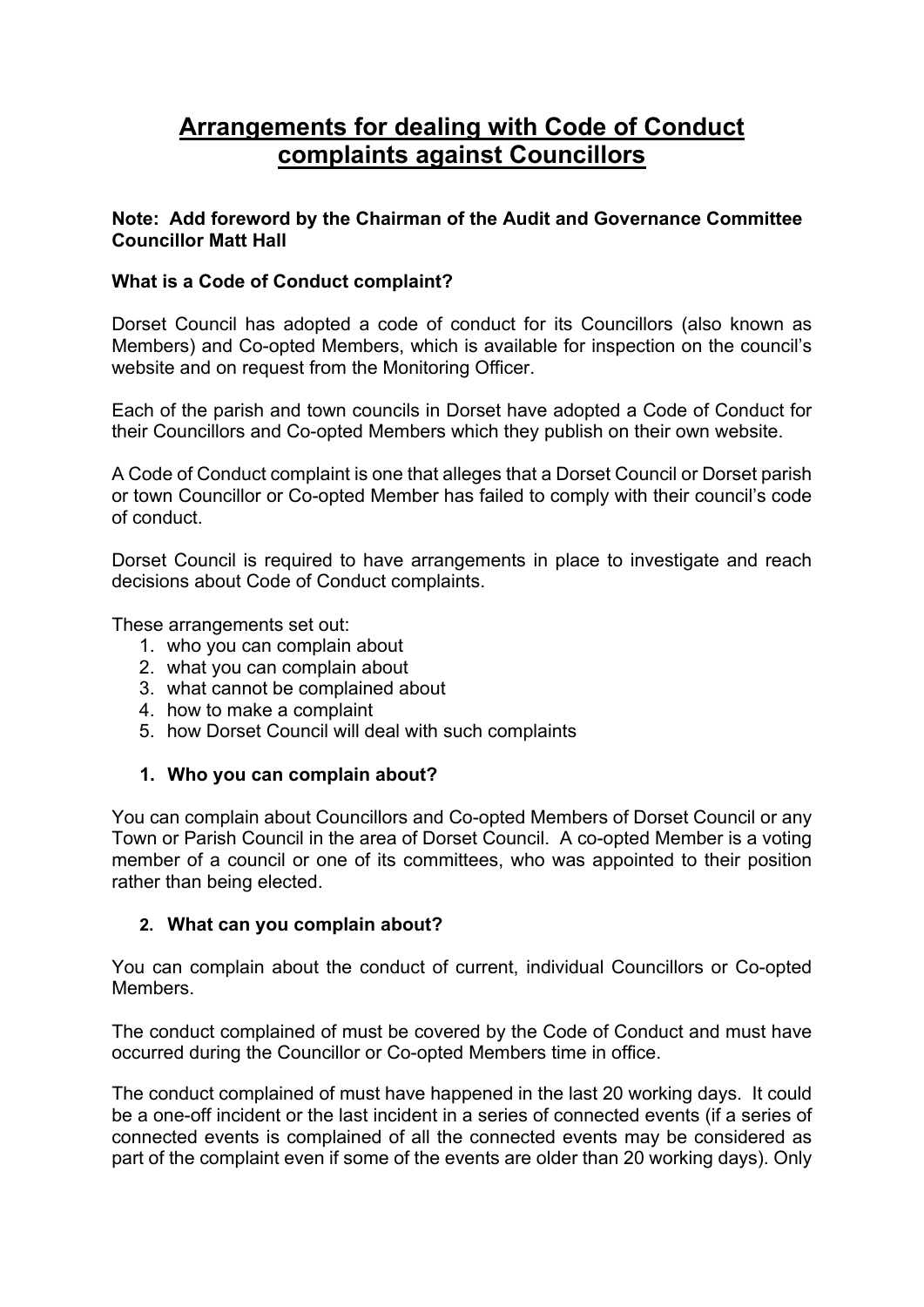# **Arrangements for dealing with Code of Conduct complaints against Councillors**

# **Note: Add foreword by the Chairman of the Audit and Governance Committee Councillor Matt Hall**

# **What is a Code of Conduct complaint?**

Dorset Council has adopted a code of conduct for its Councillors (also known as Members) and Co-opted Members, which is available for inspection on the council's website and on request from the Monitoring Officer.

Each of the parish and town councils in Dorset have adopted a Code of Conduct for their Councillors and Co-opted Members which they publish on their own website.

A Code of Conduct complaint is one that alleges that a Dorset Council or Dorset parish or town Councillor or Co-opted Member has failed to comply with their council's code of conduct.

Dorset Council is required to have arrangements in place to investigate and reach decisions about Code of Conduct complaints.

These arrangements set out:

- 1. who you can complain about
- 2. what you can complain about
- 3. what cannot be complained about
- 4. how to make a complaint
- 5. how Dorset Council will deal with such complaints

# **1. Who you can complain about?**

You can complain about Councillors and Co-opted Members of Dorset Council or any Town or Parish Council in the area of Dorset Council. A co-opted Member is a voting member of a council or one of its committees, who was appointed to their position rather than being elected.

## **2. What can you complain about?**

You can complain about the conduct of current, individual Councillors or Co-opted Members.

The conduct complained of must be covered by the Code of Conduct and must have occurred during the Councillor or Co-opted Members time in office.

The conduct complained of must have happened in the last 20 working days. It could be a one-off incident or the last incident in a series of connected events (if a series of connected events is complained of all the connected events may be considered as part of the complaint even if some of the events are older than 20 working days). Only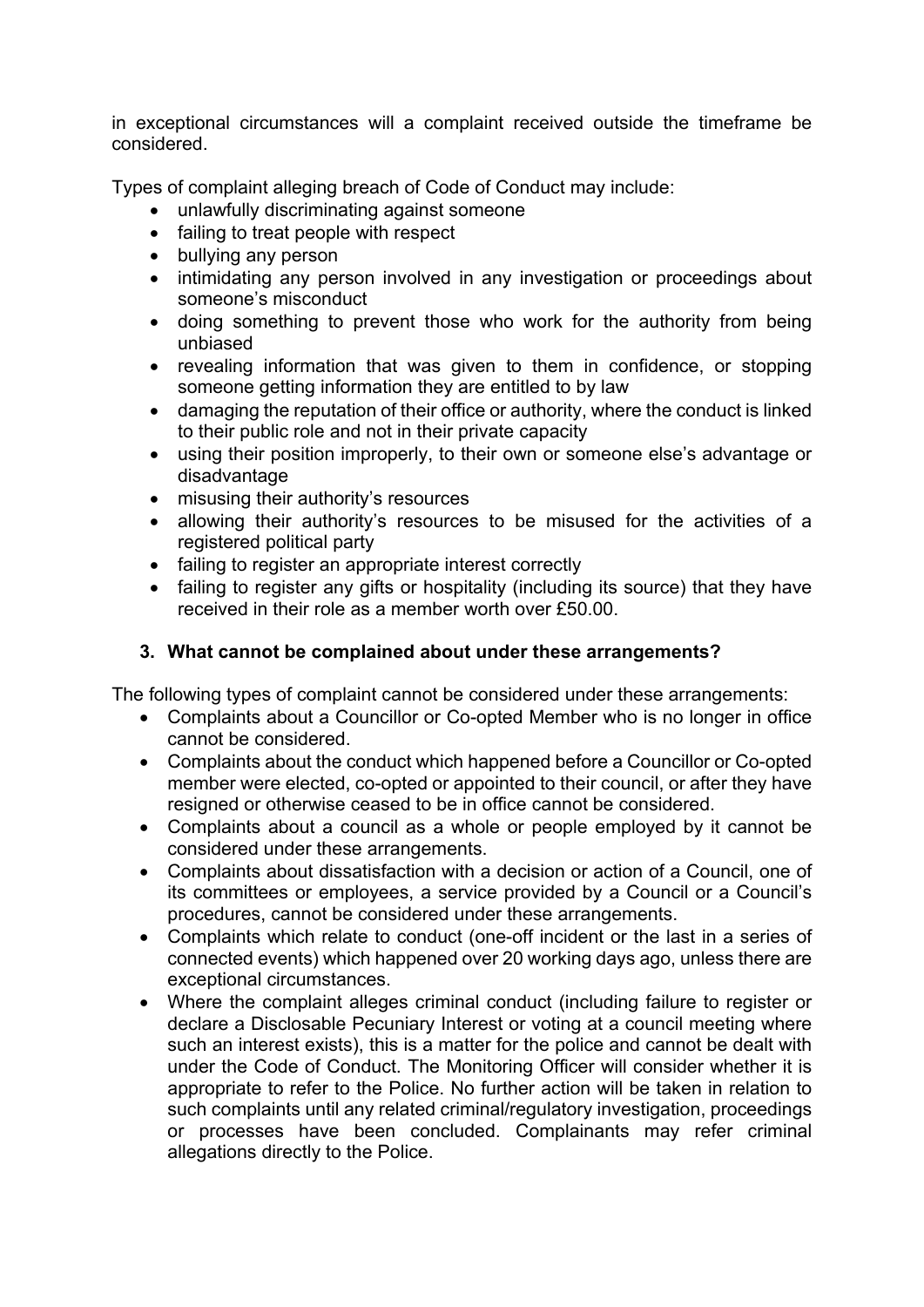in exceptional circumstances will a complaint received outside the timeframe be considered.

Types of complaint alleging breach of Code of Conduct may include:

- unlawfully discriminating against someone
- failing to treat people with respect
- bullying any person
- intimidating any person involved in any investigation or proceedings about someone's misconduct
- doing something to prevent those who work for the authority from being unbiased
- revealing information that was given to them in confidence, or stopping someone getting information they are entitled to by law
- damaging the reputation of their office or authority, where the conduct is linked to their public role and not in their private capacity
- using their position improperly, to their own or someone else's advantage or disadvantage
- misusing their authority's resources
- allowing their authority's resources to be misused for the activities of a registered political party
- failing to register an appropriate interest correctly
- failing to register any gifts or hospitality (including its source) that they have received in their role as a member worth over £50.00.

# **3. What cannot be complained about under these arrangements?**

The following types of complaint cannot be considered under these arrangements:

- Complaints about a Councillor or Co-opted Member who is no longer in office cannot be considered.
- Complaints about the conduct which happened before a Councillor or Co-opted member were elected, co-opted or appointed to their council, or after they have resigned or otherwise ceased to be in office cannot be considered.
- Complaints about a council as a whole or people employed by it cannot be considered under these arrangements.
- Complaints about dissatisfaction with a decision or action of a Council, one of its committees or employees, a service provided by a Council or a Council's procedures, cannot be considered under these arrangements.
- Complaints which relate to conduct (one-off incident or the last in a series of connected events) which happened over 20 working days ago, unless there are exceptional circumstances.
- Where the complaint alleges criminal conduct (including failure to register or declare a Disclosable Pecuniary Interest or voting at a council meeting where such an interest exists), this is a matter for the police and cannot be dealt with under the Code of Conduct. The Monitoring Officer will consider whether it is appropriate to refer to the Police. No further action will be taken in relation to such complaints until any related criminal/regulatory investigation, proceedings or processes have been concluded. Complainants may refer criminal allegations directly to the Police.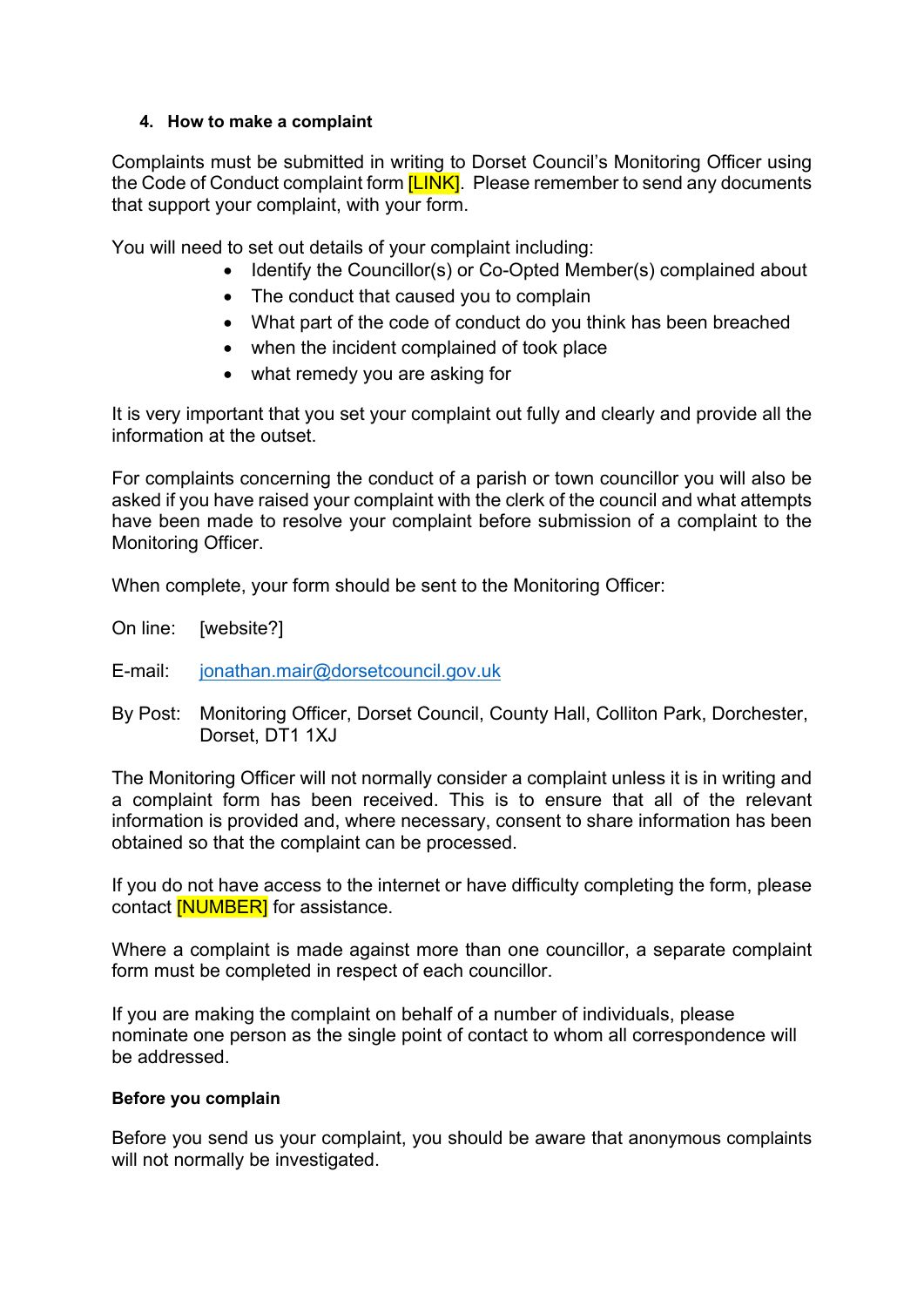#### **4. How to make a complaint**

Complaints must be submitted in writing to Dorset Council's Monitoring Officer using the Code of Conduct complaint form **[LINK]**. Please remember to send any documents that support your complaint, with your form.

You will need to set out details of your complaint including:

- Identify the Councillor(s) or Co-Opted Member(s) complained about
- The conduct that caused you to complain
- What part of the code of conduct do you think has been breached
- when the incident complained of took place
- what remedy you are asking for

It is very important that you set your complaint out fully and clearly and provide all the information at the outset.

For complaints concerning the conduct of a parish or town councillor you will also be asked if you have raised your complaint with the clerk of the council and what attempts have been made to resolve your complaint before submission of a complaint to the Monitoring Officer.

When complete, your form should be sent to the Monitoring Officer:

On line: [website?]

- E-mail: [jonathan.mair@dorsetcouncil.gov.uk](mailto:jonathan.mair@dorsetcouncil.gov.uk)
- By Post: Monitoring Officer, Dorset Council, County Hall, Colliton Park, Dorchester, Dorset, DT1 1XJ

The Monitoring Officer will not normally consider a complaint unless it is in writing and a complaint form has been received. This is to ensure that all of the relevant information is provided and, where necessary, consent to share information has been obtained so that the complaint can be processed.

If you do not have access to the internet or have difficulty completing the form, please contact **[NUMBER]** for assistance.

Where a complaint is made against more than one councillor, a separate complaint form must be completed in respect of each councillor.

If you are making the complaint on behalf of a number of individuals, please nominate one person as the single point of contact to whom all correspondence will be addressed.

## **Before you complain**

Before you send us your complaint, you should be aware that anonymous complaints will not normally be investigated.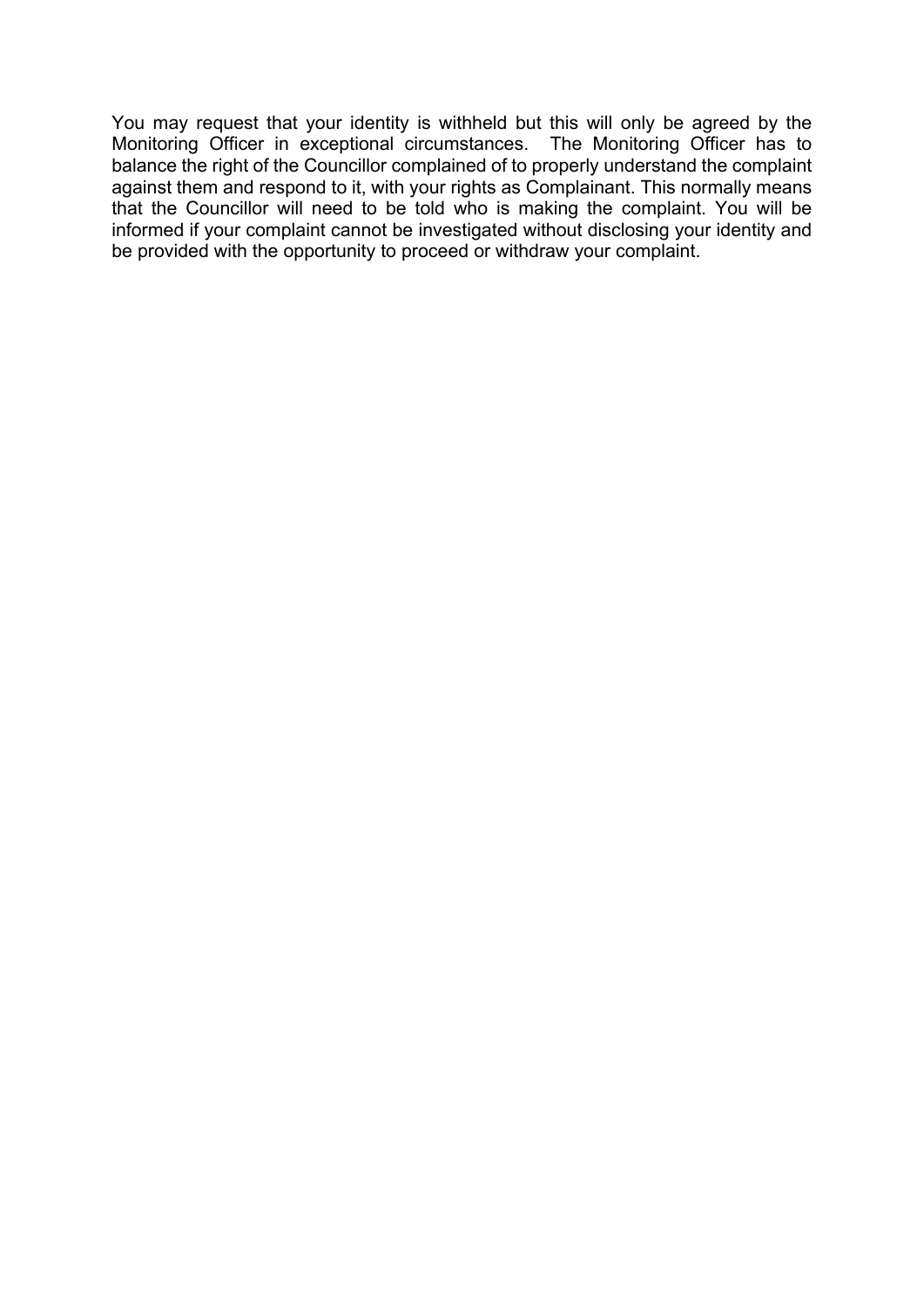You may request that your identity is withheld but this will only be agreed by the Monitoring Officer in exceptional circumstances. The Monitoring Officer has to balance the right of the Councillor complained of to properly understand the complaint against them and respond to it, with your rights as Complainant. This normally means that the Councillor will need to be told who is making the complaint. You will be informed if your complaint cannot be investigated without disclosing your identity and be provided with the opportunity to proceed or withdraw your complaint.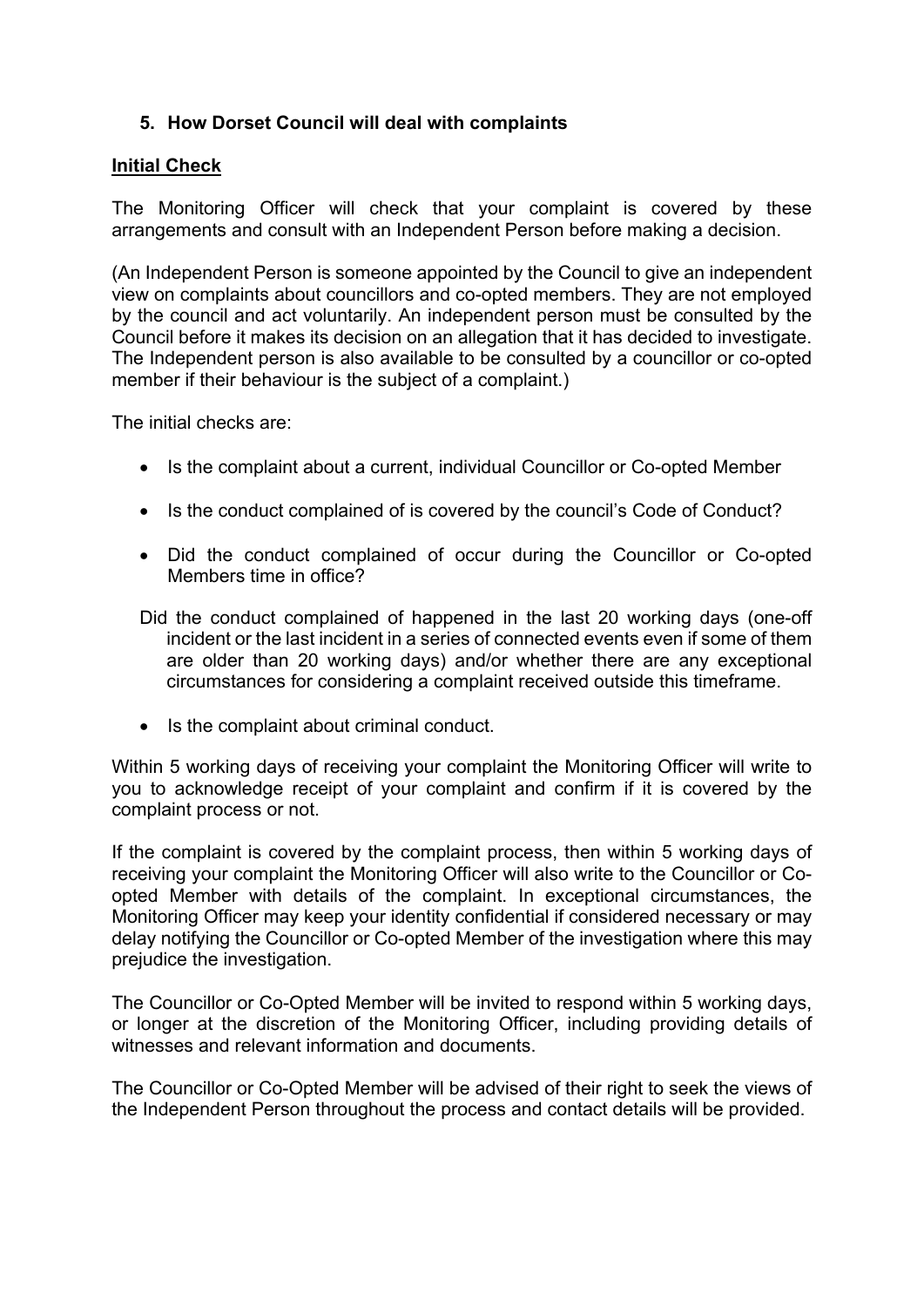# **5. How Dorset Council will deal with complaints**

#### **Initial Check**

The Monitoring Officer will check that your complaint is covered by these arrangements and consult with an Independent Person before making a decision.

(An Independent Person is someone appointed by the Council to give an independent view on complaints about councillors and co-opted members. They are not employed by the council and act voluntarily. An independent person must be consulted by the Council before it makes its decision on an allegation that it has decided to investigate. The Independent person is also available to be consulted by a councillor or co-opted member if their behaviour is the subject of a complaint.)

The initial checks are:

- Is the complaint about a current, individual Councillor or Co-opted Member
- Is the conduct complained of is covered by the council's Code of Conduct?
- Did the conduct complained of occur during the Councillor or Co-opted Members time in office?
- Did the conduct complained of happened in the last 20 working days (one-off incident or the last incident in a series of connected events even if some of them are older than 20 working days) and/or whether there are any exceptional circumstances for considering a complaint received outside this timeframe.
- Is the complaint about criminal conduct.

Within 5 working days of receiving your complaint the Monitoring Officer will write to you to acknowledge receipt of your complaint and confirm if it is covered by the complaint process or not.

If the complaint is covered by the complaint process, then within 5 working days of receiving your complaint the Monitoring Officer will also write to the Councillor or Coopted Member with details of the complaint. In exceptional circumstances, the Monitoring Officer may keep your identity confidential if considered necessary or may delay notifying the Councillor or Co-opted Member of the investigation where this may prejudice the investigation.

The Councillor or Co-Opted Member will be invited to respond within 5 working days, or longer at the discretion of the Monitoring Officer, including providing details of witnesses and relevant information and documents.

The Councillor or Co-Opted Member will be advised of their right to seek the views of the Independent Person throughout the process and contact details will be provided.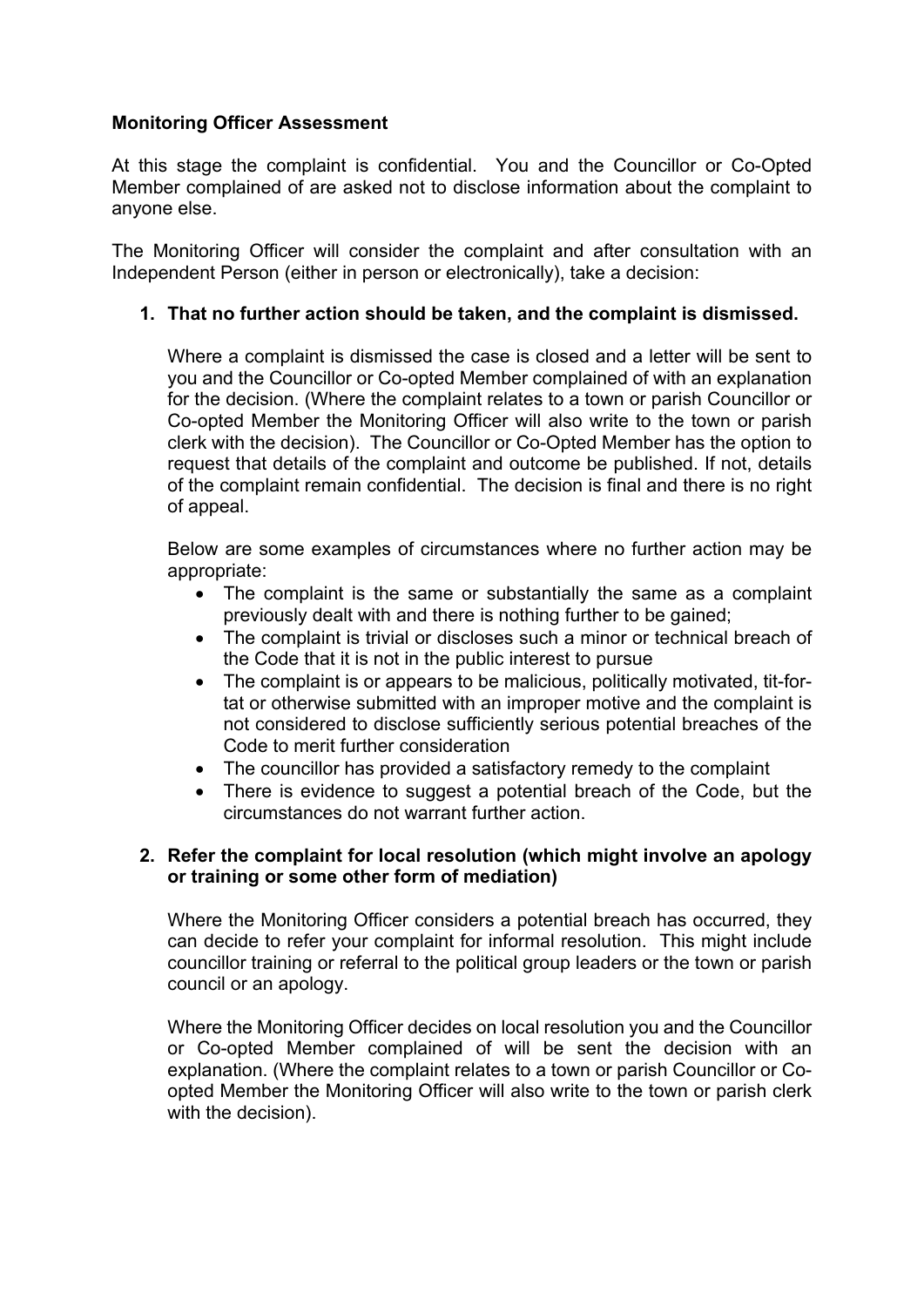# **Monitoring Officer Assessment**

At this stage the complaint is confidential. You and the Councillor or Co-Opted Member complained of are asked not to disclose information about the complaint to anyone else.

The Monitoring Officer will consider the complaint and after consultation with an Independent Person (either in person or electronically), take a decision:

# **1. That no further action should be taken, and the complaint is dismissed.**

Where a complaint is dismissed the case is closed and a letter will be sent to you and the Councillor or Co-opted Member complained of with an explanation for the decision. (Where the complaint relates to a town or parish Councillor or Co-opted Member the Monitoring Officer will also write to the town or parish clerk with the decision). The Councillor or Co-Opted Member has the option to request that details of the complaint and outcome be published. If not, details of the complaint remain confidential. The decision is final and there is no right of appeal.

Below are some examples of circumstances where no further action may be appropriate:

- The complaint is the same or substantially the same as a complaint previously dealt with and there is nothing further to be gained;
- The complaint is trivial or discloses such a minor or technical breach of the Code that it is not in the public interest to pursue
- The complaint is or appears to be malicious, politically motivated, tit-fortat or otherwise submitted with an improper motive and the complaint is not considered to disclose sufficiently serious potential breaches of the Code to merit further consideration
- The councillor has provided a satisfactory remedy to the complaint
- There is evidence to suggest a potential breach of the Code, but the circumstances do not warrant further action.

# **2. Refer the complaint for local resolution (which might involve an apology or training or some other form of mediation)**

Where the Monitoring Officer considers a potential breach has occurred, they can decide to refer your complaint for informal resolution. This might include councillor training or referral to the political group leaders or the town or parish council or an apology.

Where the Monitoring Officer decides on local resolution you and the Councillor or Co-opted Member complained of will be sent the decision with an explanation. (Where the complaint relates to a town or parish Councillor or Coopted Member the Monitoring Officer will also write to the town or parish clerk with the decision).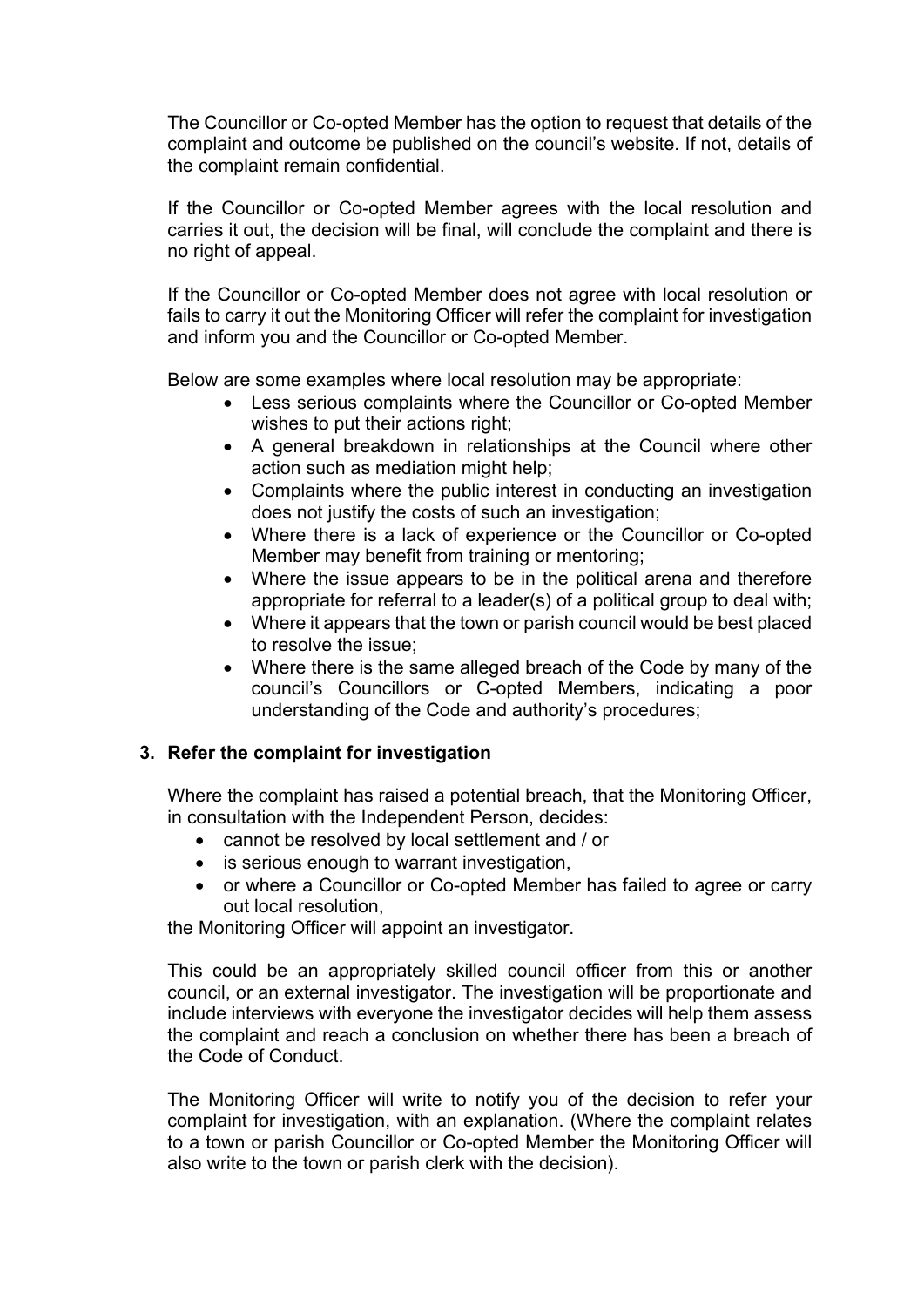The Councillor or Co-opted Member has the option to request that details of the complaint and outcome be published on the council's website. If not, details of the complaint remain confidential.

If the Councillor or Co-opted Member agrees with the local resolution and carries it out, the decision will be final, will conclude the complaint and there is no right of appeal.

If the Councillor or Co-opted Member does not agree with local resolution or fails to carry it out the Monitoring Officer will refer the complaint for investigation and inform you and the Councillor or Co-opted Member.

Below are some examples where local resolution may be appropriate:

- Less serious complaints where the Councillor or Co-opted Member wishes to put their actions right;
- A general breakdown in relationships at the Council where other action such as mediation might help;
- Complaints where the public interest in conducting an investigation does not justify the costs of such an investigation;
- Where there is a lack of experience or the Councillor or Co-opted Member may benefit from training or mentoring;
- Where the issue appears to be in the political arena and therefore appropriate for referral to a leader(s) of a political group to deal with;
- Where it appears that the town or parish council would be best placed to resolve the issue;
- Where there is the same alleged breach of the Code by many of the council's Councillors or C-opted Members, indicating a poor understanding of the Code and authority's procedures;

# **3. Refer the complaint for investigation**

Where the complaint has raised a potential breach, that the Monitoring Officer, in consultation with the Independent Person, decides:

- cannot be resolved by local settlement and / or
- is serious enough to warrant investigation,
- or where a Councillor or Co-opted Member has failed to agree or carry out local resolution,

the Monitoring Officer will appoint an investigator.

This could be an appropriately skilled council officer from this or another council, or an external investigator. The investigation will be proportionate and include interviews with everyone the investigator decides will help them assess the complaint and reach a conclusion on whether there has been a breach of the Code of Conduct.

The Monitoring Officer will write to notify you of the decision to refer your complaint for investigation, with an explanation. (Where the complaint relates to a town or parish Councillor or Co-opted Member the Monitoring Officer will also write to the town or parish clerk with the decision).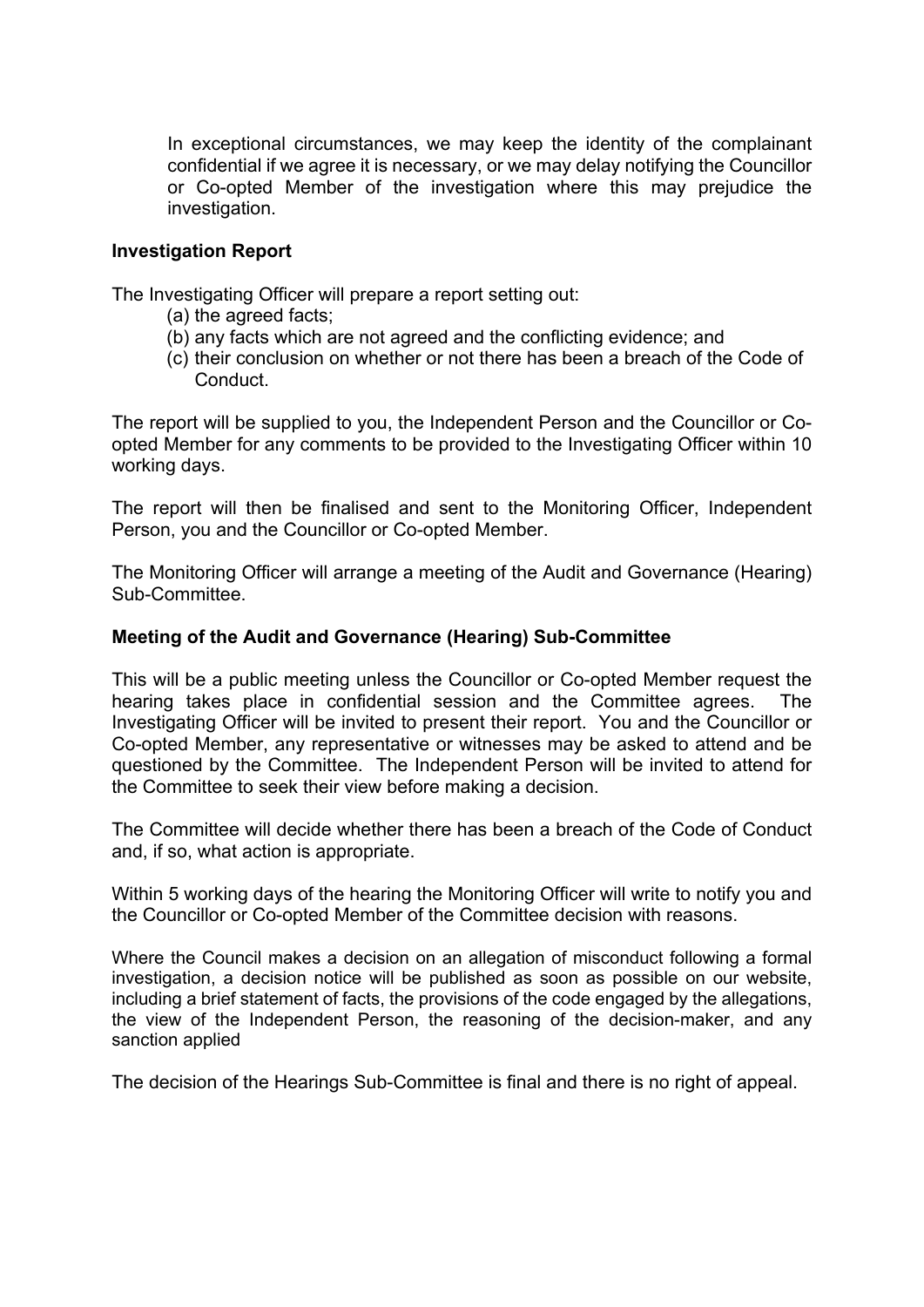In exceptional circumstances, we may keep the identity of the complainant confidential if we agree it is necessary, or we may delay notifying the Councillor or Co-opted Member of the investigation where this may prejudice the investigation.

#### **Investigation Report**

The Investigating Officer will prepare a report setting out:

- (a) the agreed facts;
- (b) any facts which are not agreed and the conflicting evidence; and
- (c) their conclusion on whether or not there has been a breach of the Code of **Conduct**

The report will be supplied to you, the Independent Person and the Councillor or Coopted Member for any comments to be provided to the Investigating Officer within 10 working days.

The report will then be finalised and sent to the Monitoring Officer, Independent Person, you and the Councillor or Co-opted Member.

The Monitoring Officer will arrange a meeting of the Audit and Governance (Hearing) Sub-Committee.

#### **Meeting of the Audit and Governance (Hearing) Sub-Committee**

This will be a public meeting unless the Councillor or Co-opted Member request the hearing takes place in confidential session and the Committee agrees. The Investigating Officer will be invited to present their report. You and the Councillor or Co-opted Member, any representative or witnesses may be asked to attend and be questioned by the Committee. The Independent Person will be invited to attend for the Committee to seek their view before making a decision.

The Committee will decide whether there has been a breach of the Code of Conduct and, if so, what action is appropriate.

Within 5 working days of the hearing the Monitoring Officer will write to notify you and the Councillor or Co-opted Member of the Committee decision with reasons.

Where the Council makes a decision on an allegation of misconduct following a formal investigation, a decision notice will be published as soon as possible on our website, including a brief statement of facts, the provisions of the code engaged by the allegations, the view of the Independent Person, the reasoning of the decision-maker, and any sanction applied

The decision of the Hearings Sub-Committee is final and there is no right of appeal.